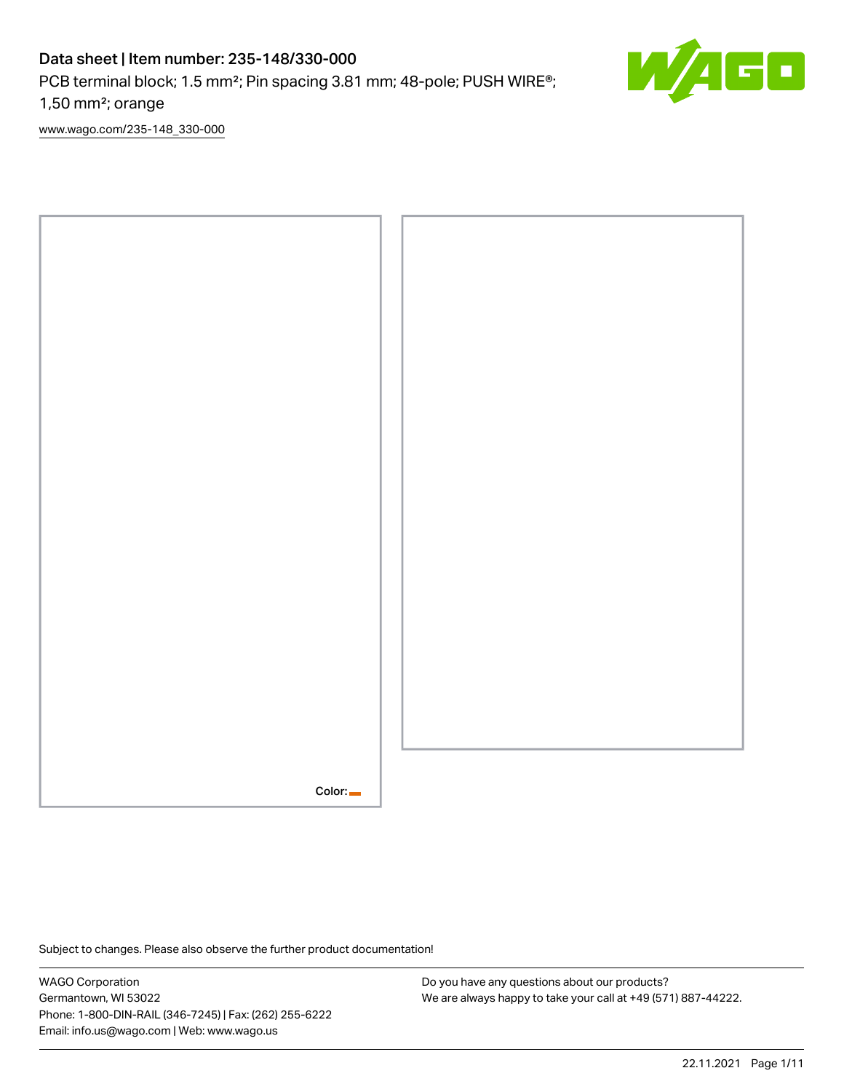# Data sheet | Item number: 235-148/330-000

PCB terminal block; 1.5 mm<sup>2</sup>; Pin spacing 3.81 mm; 48-pole; PUSH WIRE<sup>®</sup>;

1,50 mm²; orange

[www.wago.com/235-148\\_330-000](http://www.wago.com/235-148_330-000)



Subject to changes. Please also observe the further product documentation!

WAGO Corporation Germantown, WI 53022 Phone: 1-800-DIN-RAIL (346-7245) | Fax: (262) 255-6222 Email: info.us@wago.com | Web: www.wago.us

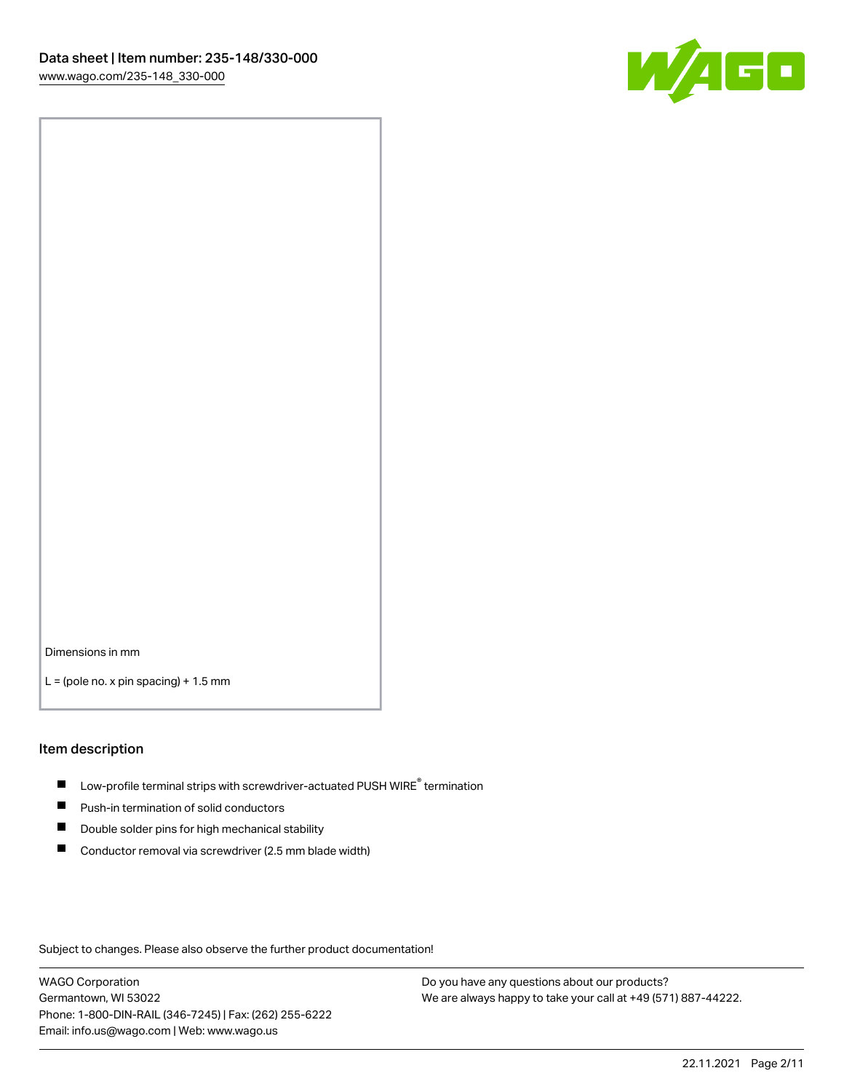

Dimensions in mm

 $L =$  (pole no. x pin spacing) + 1.5 mm

#### Item description

- $\blacksquare$  Low-profile terminal strips with screwdriver-actuated PUSH WIRE<sup>®</sup> termination
- **Push-in termination of solid conductors**
- $\blacksquare$ Double solder pins for high mechanical stability
- П Conductor removal via screwdriver (2.5 mm blade width)

Subject to changes. Please also observe the further product documentation!

WAGO Corporation Germantown, WI 53022 Phone: 1-800-DIN-RAIL (346-7245) | Fax: (262) 255-6222 Email: info.us@wago.com | Web: www.wago.us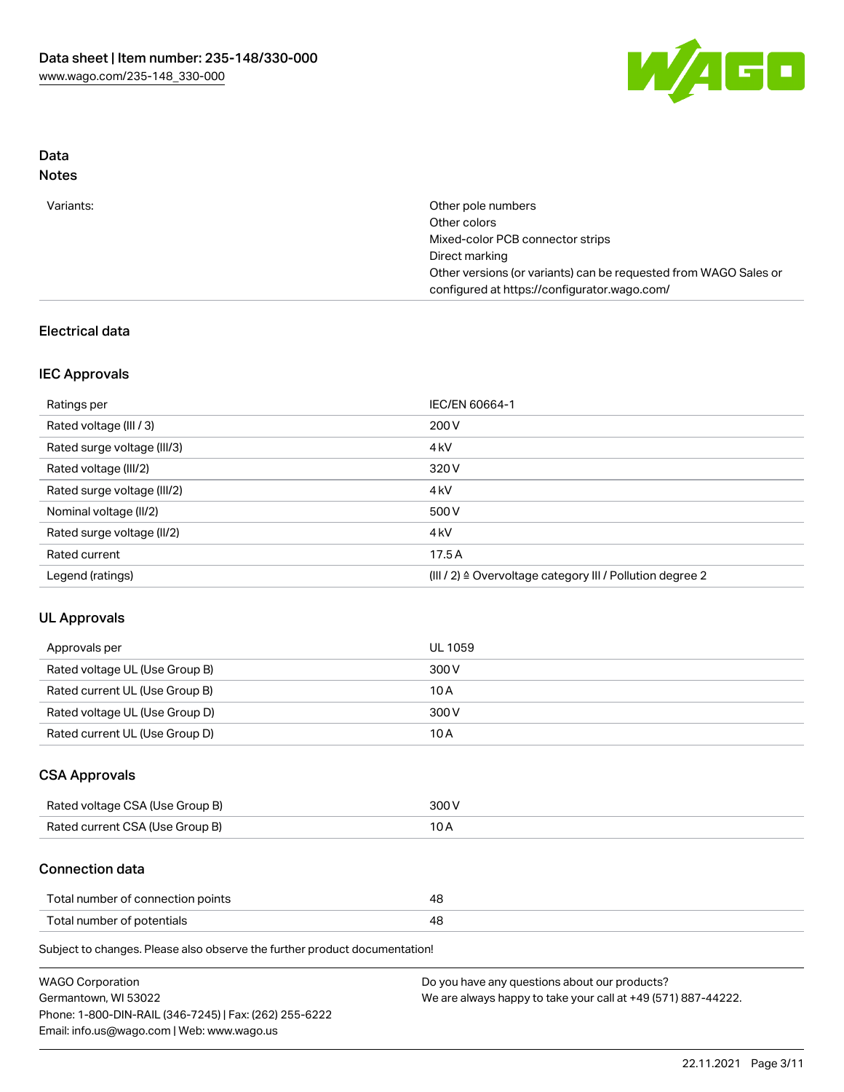

### Data Notes

| Other pole numbers                                               |
|------------------------------------------------------------------|
| Other colors                                                     |
| Mixed-color PCB connector strips                                 |
| Direct marking                                                   |
| Other versions (or variants) can be requested from WAGO Sales or |
| configured at https://configurator.wago.com/                     |
|                                                                  |

## Electrical data

### IEC Approvals

| Ratings per                 | IEC/EN 60664-1                                                       |
|-----------------------------|----------------------------------------------------------------------|
| Rated voltage (III / 3)     | 200 V                                                                |
| Rated surge voltage (III/3) | 4 <sub>k</sub> V                                                     |
| Rated voltage (III/2)       | 320 V                                                                |
| Rated surge voltage (III/2) | 4 <sub>k</sub> V                                                     |
| Nominal voltage (II/2)      | 500 V                                                                |
| Rated surge voltage (II/2)  | 4 <sub>k</sub> V                                                     |
| Rated current               | 17.5A                                                                |
| Legend (ratings)            | (III / 2) $\triangleq$ Overvoltage category III / Pollution degree 2 |

### UL Approvals

| Approvals per                  | UL 1059 |
|--------------------------------|---------|
| Rated voltage UL (Use Group B) | 300 V   |
| Rated current UL (Use Group B) | 10 A    |
| Rated voltage UL (Use Group D) | 300 V   |
| Rated current UL (Use Group D) | 10 A    |

### CSA Approvals

| Rated voltage CSA (Use Group B) | 300 V |
|---------------------------------|-------|
| Rated current CSA (Use Group B) |       |

### Connection data

| Total number of connection points |    |
|-----------------------------------|----|
| Total number of potentials        | 4c |

Subject to changes. Please also observe the further product documentation!

| <b>WAGO Corporation</b>                                | Do you have any questions about our products?                 |
|--------------------------------------------------------|---------------------------------------------------------------|
| Germantown, WI 53022                                   | We are always happy to take your call at +49 (571) 887-44222. |
| Phone: 1-800-DIN-RAIL (346-7245)   Fax: (262) 255-6222 |                                                               |
| Email: info.us@wago.com   Web: www.wago.us             |                                                               |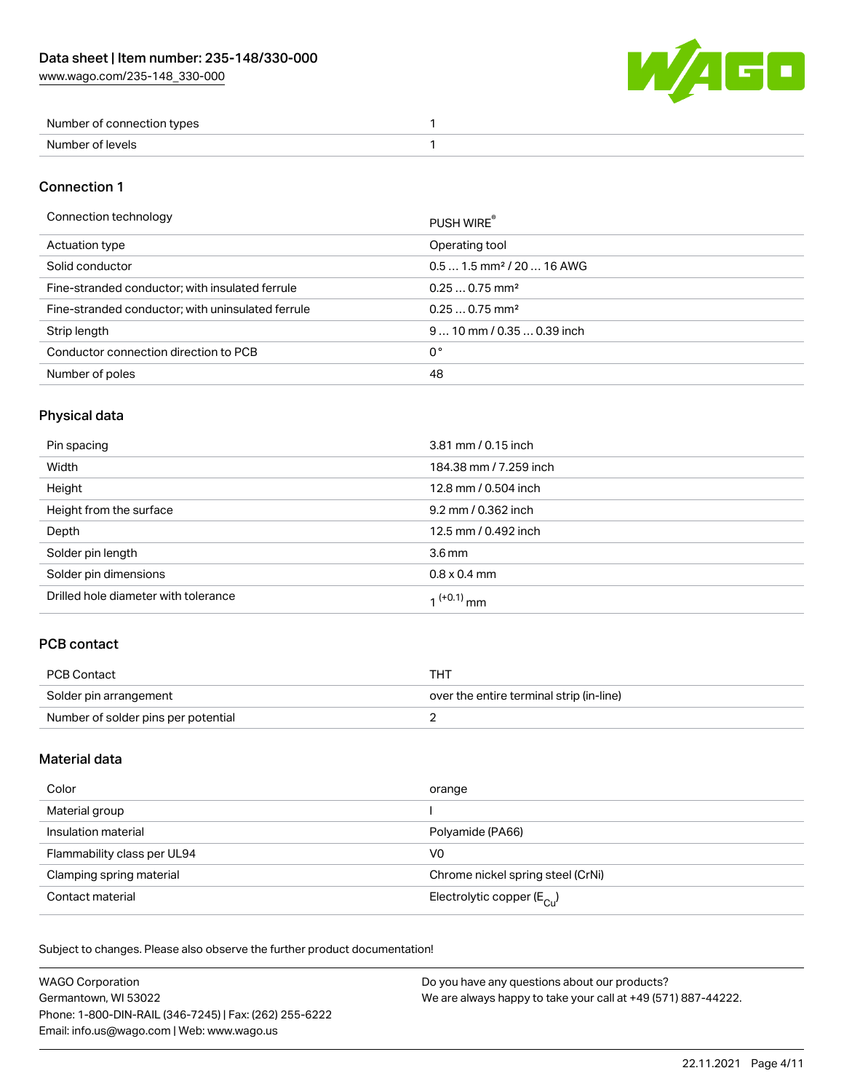W/AGO

| Number of connection types |  |
|----------------------------|--|
| Number of levels           |  |

### Connection 1

#### Connection technology PUSH WIRE®

|                                                   | <b>PUSH WIRE</b>                      |
|---------------------------------------------------|---------------------------------------|
| Actuation type                                    | Operating tool                        |
| Solid conductor                                   | $0.51.5$ mm <sup>2</sup> / 20  16 AWG |
| Fine-stranded conductor; with insulated ferrule   | $0.250.75$ mm <sup>2</sup>            |
| Fine-stranded conductor; with uninsulated ferrule | $0.250.75$ mm <sup>2</sup>            |
| Strip length                                      | $910$ mm / 0.35  0.39 inch            |
| Conductor connection direction to PCB             | 0°                                    |
| Number of poles                                   | 48                                    |

## Physical data

| Pin spacing                          | 3.81 mm / 0.15 inch    |
|--------------------------------------|------------------------|
| Width                                | 184.38 mm / 7.259 inch |
| Height                               | 12.8 mm / 0.504 inch   |
| Height from the surface              | 9.2 mm / 0.362 inch    |
| Depth                                | 12.5 mm / 0.492 inch   |
| Solder pin length                    | 3.6 <sub>mm</sub>      |
| Solder pin dimensions                | $0.8 \times 0.4$ mm    |
| Drilled hole diameter with tolerance | $1^{(+0.1)}$ mm        |

## PCB contact

| PCB Contact                         | THT                                      |
|-------------------------------------|------------------------------------------|
| Solder pin arrangement              | over the entire terminal strip (in-line) |
| Number of solder pins per potential |                                          |

## Material data

| Color                       | orange                                |
|-----------------------------|---------------------------------------|
| Material group              |                                       |
| Insulation material         | Polyamide (PA66)                      |
| Flammability class per UL94 | V0                                    |
| Clamping spring material    | Chrome nickel spring steel (CrNi)     |
| Contact material            | Electrolytic copper $(E_{\text{Cl}})$ |

Subject to changes. Please also observe the further product documentation!

| <b>WAGO Corporation</b>                                | Do you have any questions about our products?                 |
|--------------------------------------------------------|---------------------------------------------------------------|
| Germantown, WI 53022                                   | We are always happy to take your call at +49 (571) 887-44222. |
| Phone: 1-800-DIN-RAIL (346-7245)   Fax: (262) 255-6222 |                                                               |
| Email: info.us@wago.com   Web: www.wago.us             |                                                               |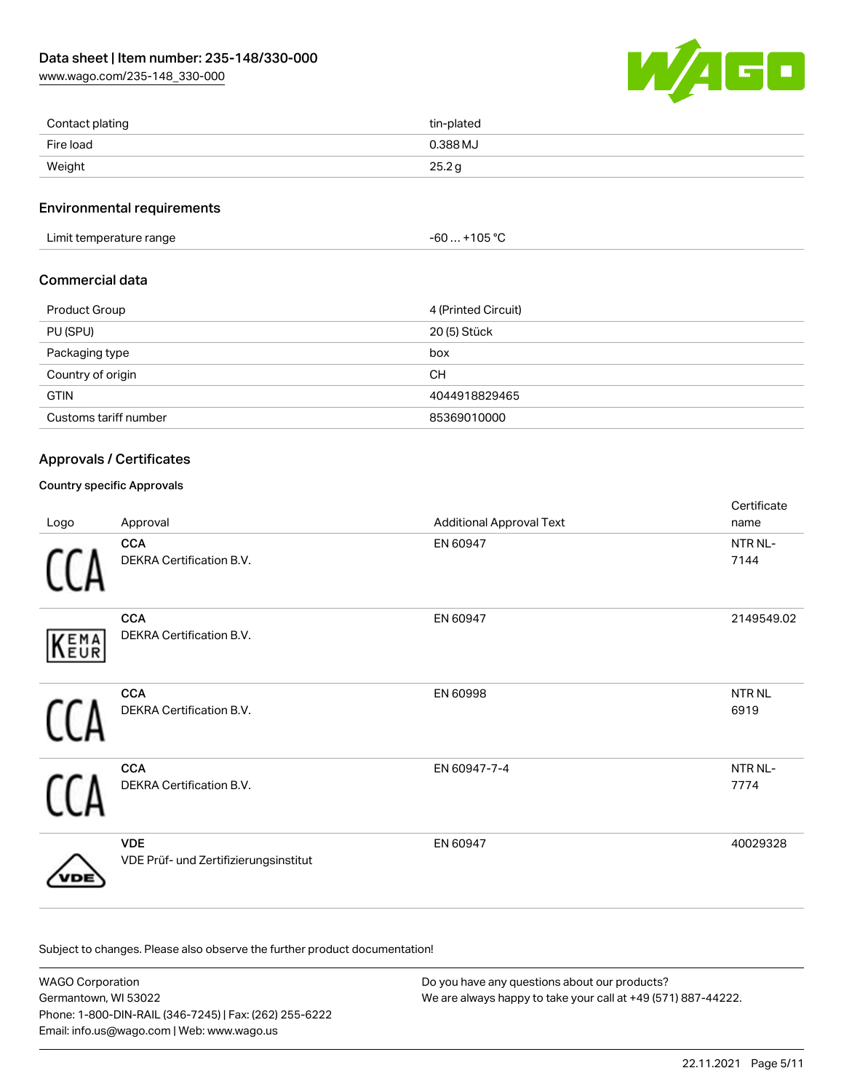[www.wago.com/235-148\\_330-000](http://www.wago.com/235-148_330-000)



| Contact plating | tin-plated |
|-----------------|------------|
| Fire load       | 0.388 MJ   |
| Weight          | 25.2g      |

#### Environmental requirements

Limit temperature range  $-60...+105$  °C

### Commercial data

| Product Group         | 4 (Printed Circuit) |
|-----------------------|---------------------|
| PU (SPU)              | 20 (5) Stück        |
| Packaging type        | box                 |
| Country of origin     | CН                  |
| <b>GTIN</b>           | 4044918829465       |
| Customs tariff number | 85369010000         |

### Approvals / Certificates

### Country specific Approvals

| Logo | Approval                                            | <b>Additional Approval Text</b> | Certificate<br>name       |
|------|-----------------------------------------------------|---------------------------------|---------------------------|
|      | <b>CCA</b><br>DEKRA Certification B.V.              | EN 60947                        | NTR NL-<br>7144           |
| KEMA | <b>CCA</b><br>DEKRA Certification B.V.              | EN 60947                        | 2149549.02                |
|      | <b>CCA</b><br>DEKRA Certification B.V.              | EN 60998                        | NTR <sub>NL</sub><br>6919 |
|      | <b>CCA</b><br>DEKRA Certification B.V.              | EN 60947-7-4                    | NTR NL-<br>7774           |
|      | <b>VDE</b><br>VDE Prüf- und Zertifizierungsinstitut | EN 60947                        | 40029328                  |

Subject to changes. Please also observe the further product documentation!

WAGO Corporation Germantown, WI 53022 Phone: 1-800-DIN-RAIL (346-7245) | Fax: (262) 255-6222 Email: info.us@wago.com | Web: www.wago.us Do you have any questions about our products? We are always happy to take your call at +49 (571) 887-44222.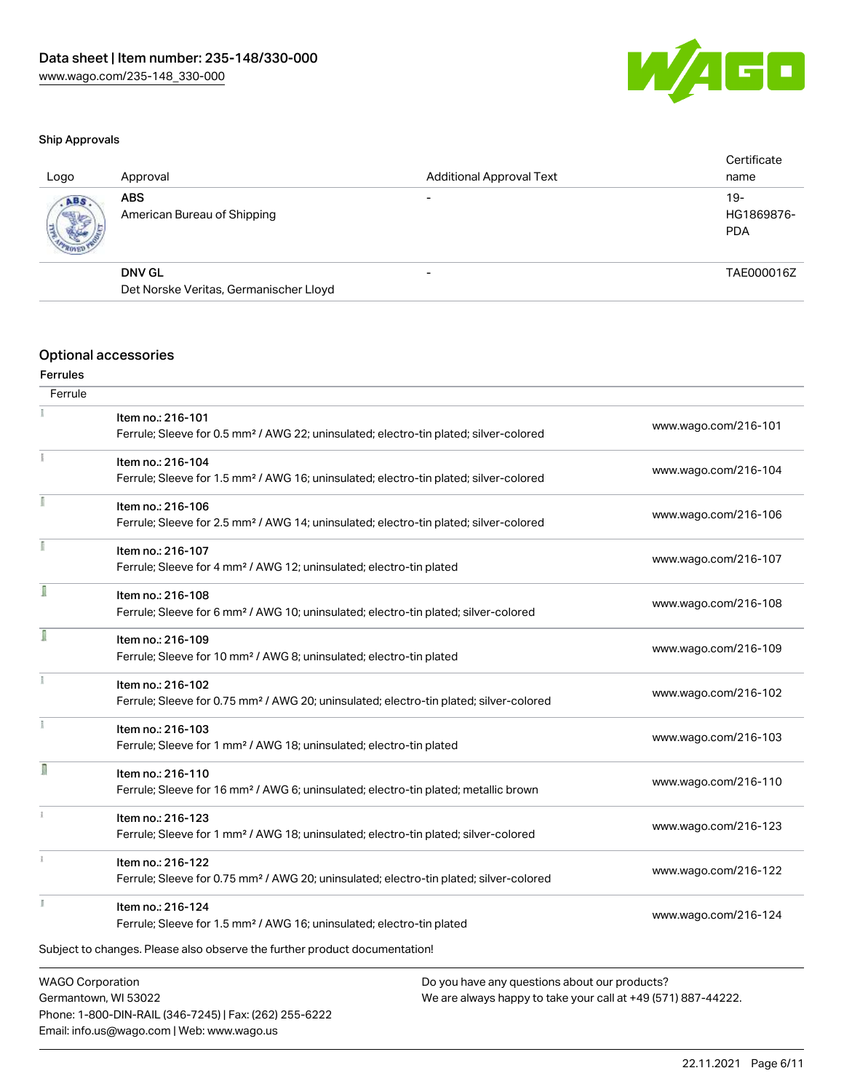

#### Ship Approvals

| Logo | Approval                                  | <b>Additional Approval Text</b> | Certificate<br>name               |
|------|-------------------------------------------|---------------------------------|-----------------------------------|
| ABS  | <b>ABS</b><br>American Bureau of Shipping |                                 | $19-$<br>HG1869876-<br><b>PDA</b> |
|      | <b>DNV GL</b>                             | $\overline{\phantom{0}}$        | TAE000016Z                        |
|      | Det Norske Veritas, Germanischer Lloyd    |                                 |                                   |
|      |                                           |                                 |                                   |

### Optional accessories

#### Ferrules **Ferrule**

| .                                                                        |                                                                                                    |                      |
|--------------------------------------------------------------------------|----------------------------------------------------------------------------------------------------|----------------------|
|                                                                          | Item no.: 216-101                                                                                  | www.wago.com/216-101 |
|                                                                          | Ferrule; Sleeve for 0.5 mm <sup>2</sup> / AWG 22; uninsulated; electro-tin plated; silver-colored  |                      |
|                                                                          | Item no.: 216-104                                                                                  | www.wago.com/216-104 |
|                                                                          | Ferrule; Sleeve for 1.5 mm <sup>2</sup> / AWG 16; uninsulated; electro-tin plated; silver-colored  |                      |
|                                                                          | Item no.: 216-106                                                                                  | www.wago.com/216-106 |
|                                                                          | Ferrule; Sleeve for 2.5 mm <sup>2</sup> / AWG 14; uninsulated; electro-tin plated; silver-colored  |                      |
|                                                                          | Item no.: 216-107                                                                                  |                      |
|                                                                          | Ferrule; Sleeve for 4 mm <sup>2</sup> / AWG 12; uninsulated; electro-tin plated                    | www.wago.com/216-107 |
| Î                                                                        | Item no.: 216-108                                                                                  |                      |
|                                                                          | Ferrule; Sleeve for 6 mm <sup>2</sup> / AWG 10; uninsulated; electro-tin plated; silver-colored    | www.wago.com/216-108 |
| I                                                                        | Item no.: 216-109                                                                                  |                      |
|                                                                          | Ferrule; Sleeve for 10 mm <sup>2</sup> / AWG 8; uninsulated; electro-tin plated                    | www.wago.com/216-109 |
|                                                                          | Item no.: 216-102                                                                                  |                      |
|                                                                          | Ferrule; Sleeve for 0.75 mm <sup>2</sup> / AWG 20; uninsulated; electro-tin plated; silver-colored | www.wago.com/216-102 |
|                                                                          | Item no.: 216-103                                                                                  |                      |
|                                                                          | Ferrule; Sleeve for 1 mm <sup>2</sup> / AWG 18; uninsulated; electro-tin plated                    | www.wago.com/216-103 |
| n                                                                        | Item no.: 216-110                                                                                  |                      |
|                                                                          | Ferrule; Sleeve for 16 mm <sup>2</sup> / AWG 6; uninsulated; electro-tin plated; metallic brown    | www.wago.com/216-110 |
|                                                                          | Item no.: 216-123                                                                                  |                      |
|                                                                          | Ferrule; Sleeve for 1 mm <sup>2</sup> / AWG 18; uninsulated; electro-tin plated; silver-colored    | www.wago.com/216-123 |
|                                                                          | Item no.: 216-122                                                                                  |                      |
|                                                                          | Ferrule; Sleeve for 0.75 mm <sup>2</sup> / AWG 20; uninsulated; electro-tin plated; silver-colored | www.wago.com/216-122 |
|                                                                          | Item no.: 216-124                                                                                  |                      |
|                                                                          | Ferrule; Sleeve for 1.5 mm <sup>2</sup> / AWG 16; uninsulated; electro-tin plated                  | www.wago.com/216-124 |
|                                                                          | Subject to changes. Please also observe the further product documentation!                         |                      |
| <b>WAGO Corporation</b><br>Do you have any questions about our products? |                                                                                                    |                      |
|                                                                          | Cormantown MI 52022<br><u>Mo are always banny to take your sall at +40 (571) 007-44222</u>         |                      |

Germantown, WI 53022 Phone: 1-800-DIN-RAIL (346-7245) | Fax: (262) 255-6222 Email: info.us@wago.com | Web: www.wago.us

We are always happy to take your call at +49 (571) 887-44222.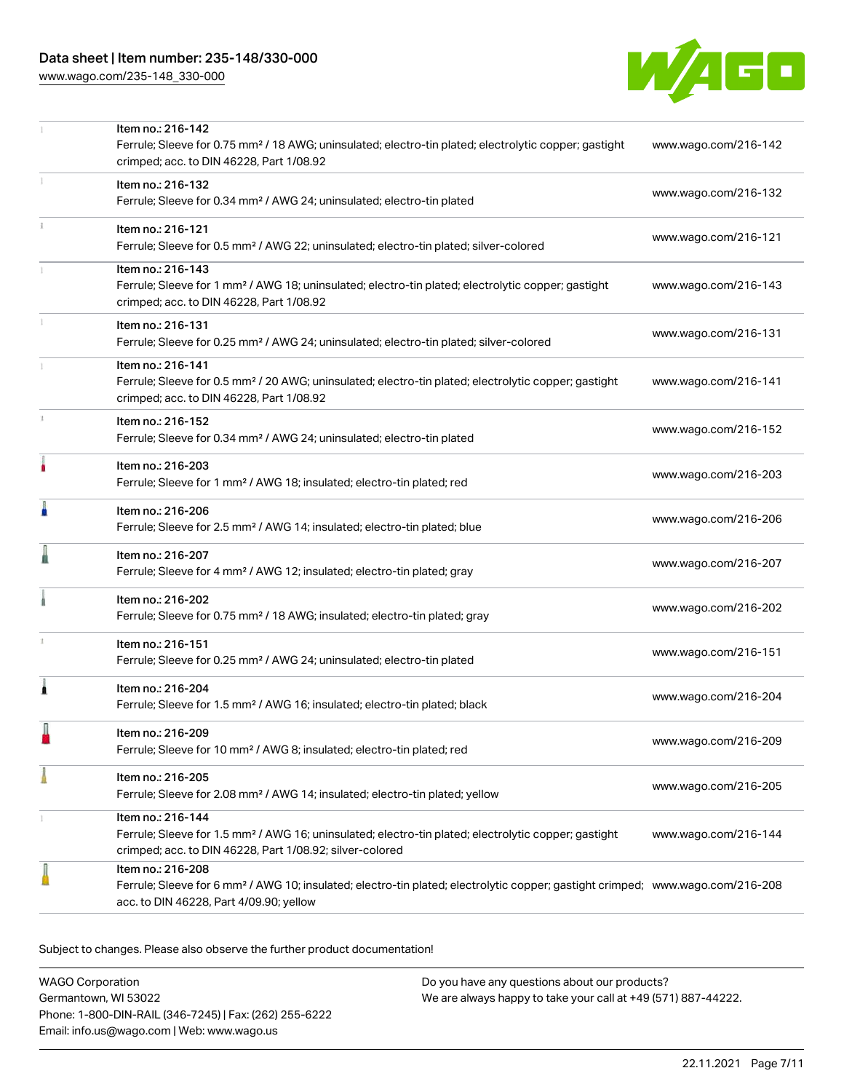[www.wago.com/235-148\\_330-000](http://www.wago.com/235-148_330-000)



|   | Item no.: 216-142<br>Ferrule; Sleeve for 0.75 mm <sup>2</sup> / 18 AWG; uninsulated; electro-tin plated; electrolytic copper; gastight                                                                     | www.wago.com/216-142 |
|---|------------------------------------------------------------------------------------------------------------------------------------------------------------------------------------------------------------|----------------------|
|   | crimped; acc. to DIN 46228, Part 1/08.92<br>Item no.: 216-132                                                                                                                                              | www.wago.com/216-132 |
|   | Ferrule; Sleeve for 0.34 mm <sup>2</sup> / AWG 24; uninsulated; electro-tin plated                                                                                                                         |                      |
|   | Item no.: 216-121<br>Ferrule; Sleeve for 0.5 mm <sup>2</sup> / AWG 22; uninsulated; electro-tin plated; silver-colored                                                                                     | www.wago.com/216-121 |
|   | Item no.: 216-143<br>Ferrule; Sleeve for 1 mm <sup>2</sup> / AWG 18; uninsulated; electro-tin plated; electrolytic copper; gastight<br>crimped; acc. to DIN 46228, Part 1/08.92                            | www.wago.com/216-143 |
|   | Item no.: 216-131<br>Ferrule; Sleeve for 0.25 mm <sup>2</sup> / AWG 24; uninsulated; electro-tin plated; silver-colored                                                                                    | www.wago.com/216-131 |
|   | Item no.: 216-141<br>Ferrule; Sleeve for 0.5 mm <sup>2</sup> / 20 AWG; uninsulated; electro-tin plated; electrolytic copper; gastight<br>crimped; acc. to DIN 46228, Part 1/08.92                          | www.wago.com/216-141 |
|   | Item no.: 216-152<br>Ferrule; Sleeve for 0.34 mm <sup>2</sup> / AWG 24; uninsulated; electro-tin plated                                                                                                    | www.wago.com/216-152 |
|   | Item no.: 216-203<br>Ferrule; Sleeve for 1 mm <sup>2</sup> / AWG 18; insulated; electro-tin plated; red                                                                                                    | www.wago.com/216-203 |
| A | Item no.: 216-206<br>Ferrule; Sleeve for 2.5 mm <sup>2</sup> / AWG 14; insulated; electro-tin plated; blue                                                                                                 | www.wago.com/216-206 |
|   | Item no.: 216-207<br>Ferrule; Sleeve for 4 mm <sup>2</sup> / AWG 12; insulated; electro-tin plated; gray                                                                                                   | www.wago.com/216-207 |
|   | Item no.: 216-202<br>Ferrule; Sleeve for 0.75 mm <sup>2</sup> / 18 AWG; insulated; electro-tin plated; gray                                                                                                | www.wago.com/216-202 |
|   | Item no.: 216-151<br>Ferrule; Sleeve for 0.25 mm <sup>2</sup> / AWG 24; uninsulated; electro-tin plated                                                                                                    | www.wago.com/216-151 |
| 1 | Item no.: 216-204<br>Ferrule; Sleeve for 1.5 mm <sup>2</sup> / AWG 16; insulated; electro-tin plated; black                                                                                                | www.wago.com/216-204 |
|   | Item no.: 216-209<br>Ferrule; Sleeve for 10 mm <sup>2</sup> / AWG 8; insulated; electro-tin plated; red                                                                                                    | www.wago.com/216-209 |
|   | Item no.: 216-205<br>Ferrule; Sleeve for 2.08 mm <sup>2</sup> / AWG 14; insulated; electro-tin plated; yellow                                                                                              | www.wago.com/216-205 |
|   | Item no.: 216-144<br>Ferrule; Sleeve for 1.5 mm <sup>2</sup> / AWG 16; uninsulated; electro-tin plated; electrolytic copper; gastight<br>crimped; acc. to DIN 46228, Part 1/08.92; silver-colored          | www.wago.com/216-144 |
|   | Item no.: 216-208<br>Ferrule; Sleeve for 6 mm <sup>2</sup> / AWG 10; insulated; electro-tin plated; electrolytic copper; gastight crimped; www.wago.com/216-208<br>acc. to DIN 46228, Part 4/09.90; yellow |                      |

Subject to changes. Please also observe the further product documentation!

WAGO Corporation Germantown, WI 53022 Phone: 1-800-DIN-RAIL (346-7245) | Fax: (262) 255-6222 Email: info.us@wago.com | Web: www.wago.us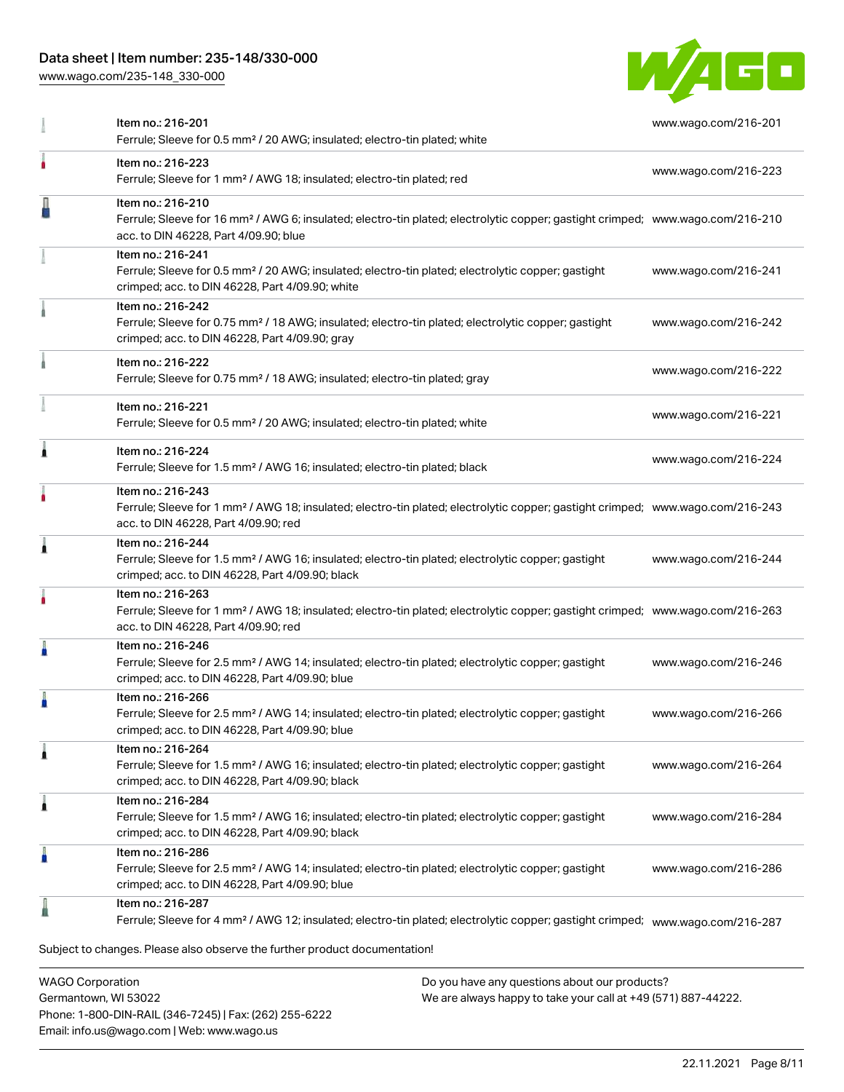## Data sheet | Item number: 235-148/330-000

[www.wago.com/235-148\\_330-000](http://www.wago.com/235-148_330-000)



|   | Item no.: 216-201<br>Ferrule; Sleeve for 0.5 mm <sup>2</sup> / 20 AWG; insulated; electro-tin plated; white                                                                                              | www.wago.com/216-201 |
|---|----------------------------------------------------------------------------------------------------------------------------------------------------------------------------------------------------------|----------------------|
|   | Item no.: 216-223<br>Ferrule; Sleeve for 1 mm <sup>2</sup> / AWG 18; insulated; electro-tin plated; red                                                                                                  | www.wago.com/216-223 |
|   | Item no.: 216-210<br>Ferrule; Sleeve for 16 mm <sup>2</sup> / AWG 6; insulated; electro-tin plated; electrolytic copper; gastight crimped; www.wago.com/216-210<br>acc. to DIN 46228, Part 4/09.90; blue |                      |
|   | Item no.: 216-241<br>Ferrule; Sleeve for 0.5 mm <sup>2</sup> / 20 AWG; insulated; electro-tin plated; electrolytic copper; gastight<br>crimped; acc. to DIN 46228, Part 4/09.90; white                   | www.wago.com/216-241 |
|   | Item no.: 216-242<br>Ferrule; Sleeve for 0.75 mm <sup>2</sup> / 18 AWG; insulated; electro-tin plated; electrolytic copper; gastight<br>crimped; acc. to DIN 46228, Part 4/09.90; gray                   | www.wago.com/216-242 |
|   | Item no.: 216-222<br>Ferrule; Sleeve for 0.75 mm <sup>2</sup> / 18 AWG; insulated; electro-tin plated; gray                                                                                              | www.wago.com/216-222 |
|   | Item no.: 216-221<br>Ferrule; Sleeve for 0.5 mm <sup>2</sup> / 20 AWG; insulated; electro-tin plated; white                                                                                              | www.wago.com/216-221 |
| Â | Item no.: 216-224<br>Ferrule; Sleeve for 1.5 mm <sup>2</sup> / AWG 16; insulated; electro-tin plated; black                                                                                              | www.wago.com/216-224 |
|   | Item no.: 216-243<br>Ferrule; Sleeve for 1 mm <sup>2</sup> / AWG 18; insulated; electro-tin plated; electrolytic copper; gastight crimped; www.wago.com/216-243<br>acc. to DIN 46228, Part 4/09.90; red  |                      |
| 1 | Item no.: 216-244<br>Ferrule; Sleeve for 1.5 mm <sup>2</sup> / AWG 16; insulated; electro-tin plated; electrolytic copper; gastight<br>crimped; acc. to DIN 46228, Part 4/09.90; black                   | www.wago.com/216-244 |
|   | Item no.: 216-263<br>Ferrule; Sleeve for 1 mm <sup>2</sup> / AWG 18; insulated; electro-tin plated; electrolytic copper; gastight crimped; www.wago.com/216-263<br>acc. to DIN 46228, Part 4/09.90; red  |                      |
| Å | Item no.: 216-246<br>Ferrule; Sleeve for 2.5 mm <sup>2</sup> / AWG 14; insulated; electro-tin plated; electrolytic copper; gastight<br>crimped; acc. to DIN 46228, Part 4/09.90; blue                    | www.wago.com/216-246 |
| A | Item no.: 216-266<br>Ferrule; Sleeve for 2.5 mm <sup>2</sup> / AWG 14; insulated; electro-tin plated; electrolytic copper; gastight<br>crimped; acc. to DIN 46228, Part 4/09.90; blue                    | www.wago.com/216-266 |
| 1 | Item no.: 216-264<br>Ferrule; Sleeve for 1.5 mm <sup>2</sup> / AWG 16; insulated; electro-tin plated; electrolytic copper; gastight<br>crimped; acc. to DIN 46228, Part 4/09.90; black                   | www.wago.com/216-264 |
| 1 | Item no.: 216-284<br>Ferrule; Sleeve for 1.5 mm <sup>2</sup> / AWG 16; insulated; electro-tin plated; electrolytic copper; gastight<br>crimped; acc. to DIN 46228, Part 4/09.90; black                   | www.wago.com/216-284 |
| A | Item no.: 216-286<br>Ferrule; Sleeve for 2.5 mm <sup>2</sup> / AWG 14; insulated; electro-tin plated; electrolytic copper; gastight<br>crimped; acc. to DIN 46228, Part 4/09.90; blue                    | www.wago.com/216-286 |
|   | Item no.: 216-287<br>Ferrule; Sleeve for 4 mm <sup>2</sup> / AWG 12; insulated; electro-tin plated; electrolytic copper; gastight crimped; www.wago.com/216-287                                          |                      |
|   | Subject to changes. Please also observe the further product documentation!                                                                                                                               |                      |

WAGO Corporation Germantown, WI 53022 Phone: 1-800-DIN-RAIL (346-7245) | Fax: (262) 255-6222 Email: info.us@wago.com | Web: www.wago.us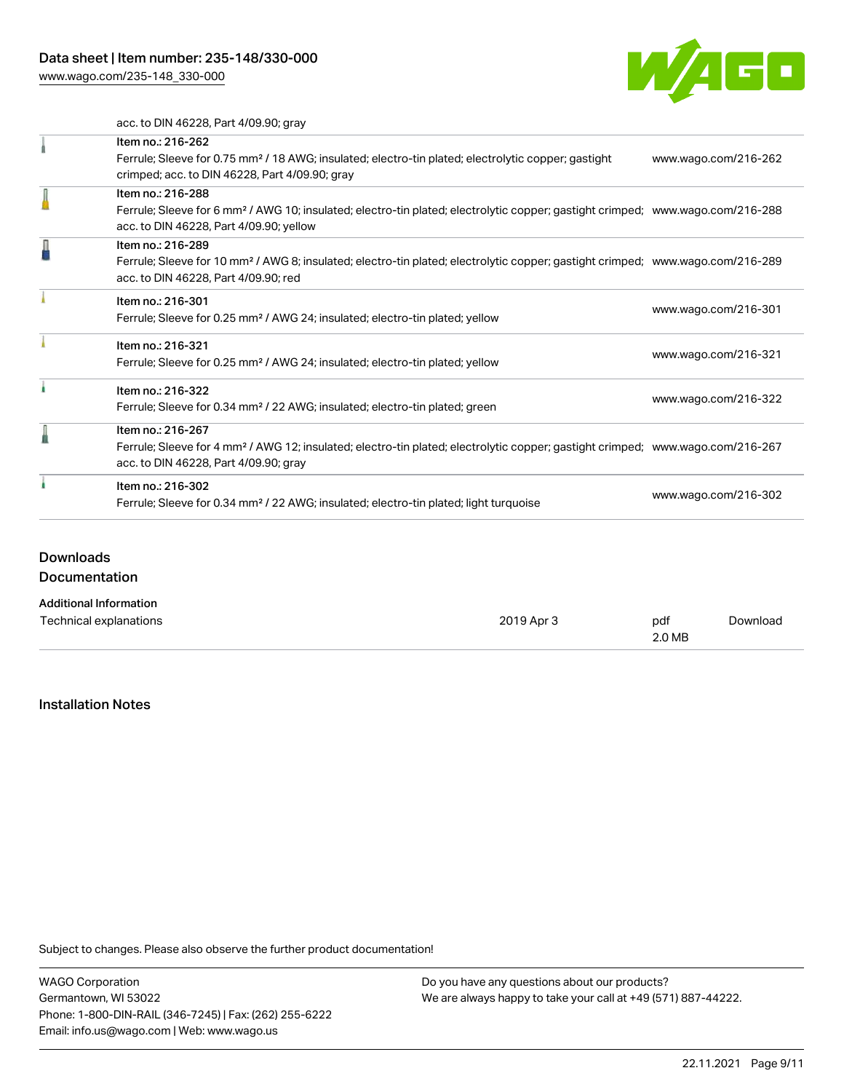[www.wago.com/235-148\\_330-000](http://www.wago.com/235-148_330-000)



acc. to DIN 46228, Part 4/09.90; gray

|   | Item no.: 216-262                                                                                                                          |                      |  |
|---|--------------------------------------------------------------------------------------------------------------------------------------------|----------------------|--|
|   | Ferrule; Sleeve for 0.75 mm <sup>2</sup> / 18 AWG; insulated; electro-tin plated; electrolytic copper; gastight                            | www.wago.com/216-262 |  |
|   | crimped; acc. to DIN 46228, Part 4/09.90; gray                                                                                             |                      |  |
|   | Item no.: 216-288                                                                                                                          |                      |  |
|   | Ferrule; Sleeve for 6 mm <sup>2</sup> / AWG 10; insulated; electro-tin plated; electrolytic copper; gastight crimped; www.wago.com/216-288 |                      |  |
|   | acc. to DIN 46228, Part 4/09.90; yellow                                                                                                    |                      |  |
| l | Item no.: 216-289                                                                                                                          |                      |  |
|   | Ferrule; Sleeve for 10 mm <sup>2</sup> / AWG 8; insulated; electro-tin plated; electrolytic copper; gastight crimped; www.wago.com/216-289 |                      |  |
|   | acc. to DIN 46228, Part 4/09.90; red                                                                                                       |                      |  |
|   | Item no.: 216-301                                                                                                                          |                      |  |
|   | Ferrule; Sleeve for 0.25 mm <sup>2</sup> / AWG 24; insulated; electro-tin plated; yellow                                                   | www.wago.com/216-301 |  |
|   | Item no.: 216-321                                                                                                                          |                      |  |
|   | Ferrule; Sleeve for 0.25 mm <sup>2</sup> / AWG 24; insulated; electro-tin plated; yellow                                                   | www.wago.com/216-321 |  |
|   | Item no.: 216-322                                                                                                                          |                      |  |
|   | Ferrule; Sleeve for 0.34 mm <sup>2</sup> / 22 AWG; insulated; electro-tin plated; green                                                    | www.wago.com/216-322 |  |
|   | Item no.: 216-267                                                                                                                          |                      |  |
|   | Ferrule; Sleeve for 4 mm <sup>2</sup> / AWG 12; insulated; electro-tin plated; electrolytic copper; gastight crimped; www.wago.com/216-267 |                      |  |
|   | acc. to DIN 46228, Part 4/09.90; gray                                                                                                      |                      |  |
|   | Item no.: 216-302                                                                                                                          |                      |  |
|   | Ferrule; Sleeve for 0.34 mm <sup>2</sup> / 22 AWG; insulated; electro-tin plated; light turquoise                                          | www.wago.com/216-302 |  |

## Downloads

Documentation

#### Additional Information

| Technical explanations | 2019 Apr 3 | pdf    | Download |
|------------------------|------------|--------|----------|
|                        |            | 2.0 MB |          |

#### Installation Notes

Subject to changes. Please also observe the further product documentation!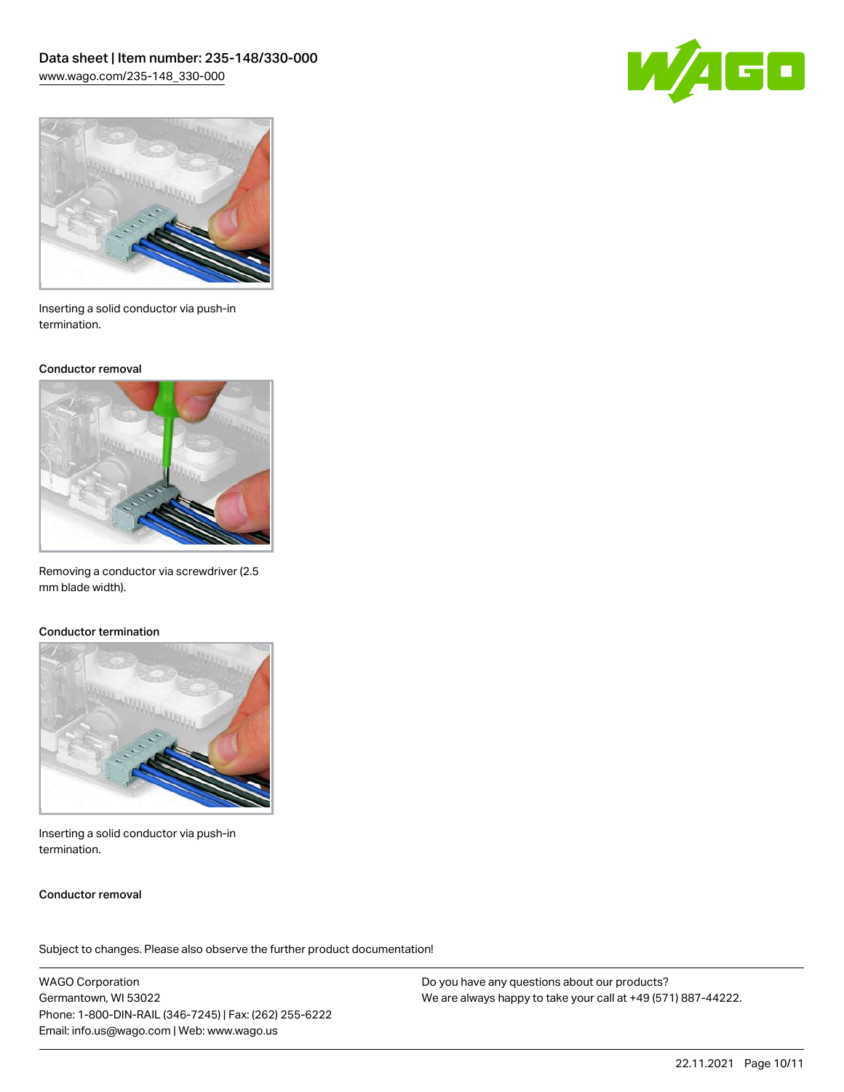



Inserting a solid conductor via push-in termination.

#### Conductor removal



Removing a conductor via screwdriver (2.5 mm blade width).

#### Conductor termination



Inserting a solid conductor via push-in termination.

#### Conductor removal

Subject to changes. Please also observe the further product documentation!

WAGO Corporation Germantown, WI 53022 Phone: 1-800-DIN-RAIL (346-7245) | Fax: (262) 255-6222 Email: info.us@wago.com | Web: www.wago.us